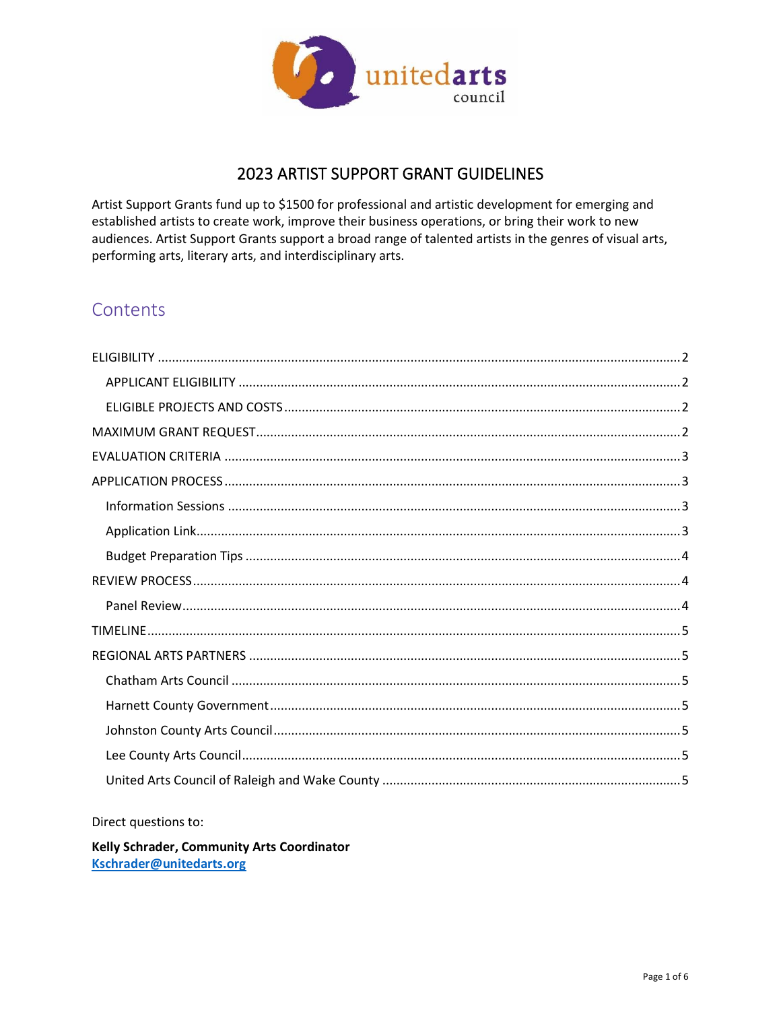

# **2023 ARTIST SUPPORT GRANT GUIDELINES**

Artist Support Grants fund up to \$1500 for professional and artistic development for emerging and established artists to create work, improve their business operations, or bring their work to new audiences. Artist Support Grants support a broad range of talented artists in the genres of visual arts, performing arts, literary arts, and interdisciplinary arts.

# Contents

Direct questions to:

Kelly Schrader, Community Arts Coordinator Kschrader@unitedarts.org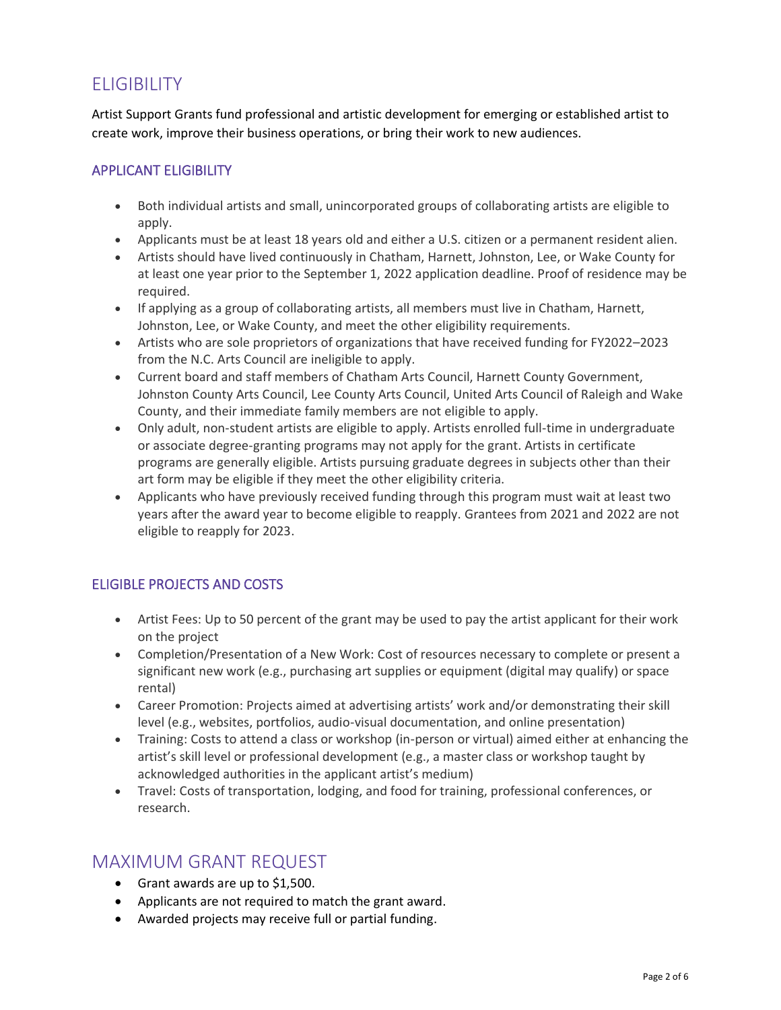# <span id="page-1-0"></span>ELIGIBILITY

Artist Support Grants fund professional and artistic development for emerging or established artist to create work, improve their business operations, or bring their work to new audiences.

## <span id="page-1-1"></span>APPLICANT ELIGIBILITY

- Both individual artists and small, unincorporated groups of collaborating artists are eligible to apply.
- Applicants must be at least 18 years old and either a U.S. citizen or a permanent resident alien.
- Artists should have lived continuously in Chatham, Harnett, Johnston, Lee, or Wake County for at least one year prior to the September 1, 2022 application deadline. Proof of residence may be required.
- If applying as a group of collaborating artists, all members must live in Chatham, Harnett, Johnston, Lee, or Wake County, and meet the other eligibility requirements.
- Artists who are sole proprietors of organizations that have received funding for FY2022–2023 from the N.C. Arts Council are ineligible to apply.
- Current board and staff members of Chatham Arts Council, Harnett County Government, Johnston County Arts Council, Lee County Arts Council, United Arts Council of Raleigh and Wake County, and their immediate family members are not eligible to apply.
- Only adult, non-student artists are eligible to apply. Artists enrolled full-time in undergraduate or associate degree-granting programs may not apply for the grant. Artists in certificate programs are generally eligible. Artists pursuing graduate degrees in subjects other than their art form may be eligible if they meet the other eligibility criteria.
- Applicants who have previously received funding through this program must wait at least two years after the award year to become eligible to reapply. Grantees from 2021 and 2022 are not eligible to reapply for 2023.

## <span id="page-1-2"></span>ELIGIBLE PROJECTS AND COSTS

- Artist Fees: Up to 50 percent of the grant may be used to pay the artist applicant for their work on the project
- Completion/Presentation of a New Work: Cost of resources necessary to complete or present a significant new work (e.g., purchasing art supplies or equipment (digital may qualify) or space rental)
- Career Promotion: Projects aimed at advertising artists' work and/or demonstrating their skill level (e.g., websites, portfolios, audio-visual documentation, and online presentation)
- Training: Costs to attend a class or workshop (in-person or virtual) aimed either at enhancing the artist's skill level or professional development (e.g., a master class or workshop taught by acknowledged authorities in the applicant artist's medium)
- Travel: Costs of transportation, lodging, and food for training, professional conferences, or research.

## <span id="page-1-3"></span>MAXIMUM GRANT REQUEST

- Grant awards are up to \$1,500.
- Applicants are not required to match the grant award.
- Awarded projects may receive full or partial funding.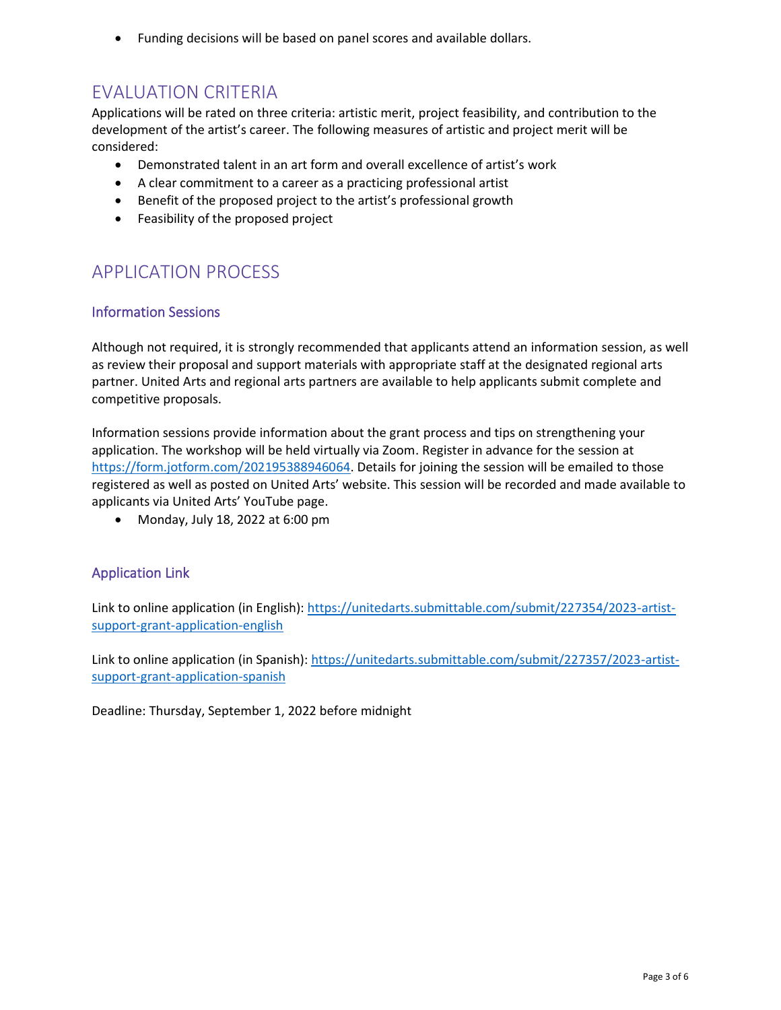• Funding decisions will be based on panel scores and available dollars.

# <span id="page-2-0"></span>EVALUATION CRITERIA

Applications will be rated on three criteria: artistic merit, project feasibility, and contribution to the development of the artist's career. The following measures of artistic and project merit will be considered:

- Demonstrated talent in an art form and overall excellence of artist's work
- A clear commitment to a career as a practicing professional artist
- Benefit of the proposed project to the artist's professional growth
- Feasibility of the proposed project

# <span id="page-2-1"></span>APPLICATION PROCESS

### <span id="page-2-2"></span>Information Sessions

Although not required, it is strongly recommended that applicants attend an information session, as well as review their proposal and support materials with appropriate staff at the designated regional arts partner. United Arts and regional arts partners are available to help applicants submit complete and competitive proposals.

Information sessions provide information about the grant process and tips on strengthening your application. The workshop will be held virtually via Zoom. Register in advance for the session at [https://form.jotform.com/202195388946064.](https://form.jotform.com/202195388946064) Details for joining the session will be emailed to those registered as well as posted on United Arts' website. This session will be recorded and made available to applicants via United Arts' YouTube page.

• Monday, July 18, 2022 at 6:00 pm

## <span id="page-2-3"></span>Application Link

Link to online application (in English): [https://unitedarts.submittable.com/submit/227354/2023-artist](https://unitedarts.submittable.com/submit/227354/2023-artist-support-grant-application-english)[support-grant-application-english](https://unitedarts.submittable.com/submit/227354/2023-artist-support-grant-application-english)

Link to online application (in Spanish): [https://unitedarts.submittable.com/submit/227357/2023-artist](https://unitedarts.submittable.com/submit/227357/2023-artist-support-grant-application-spanish)[support-grant-application-spanish](https://unitedarts.submittable.com/submit/227357/2023-artist-support-grant-application-spanish)

Deadline: Thursday, September 1, 2022 before midnight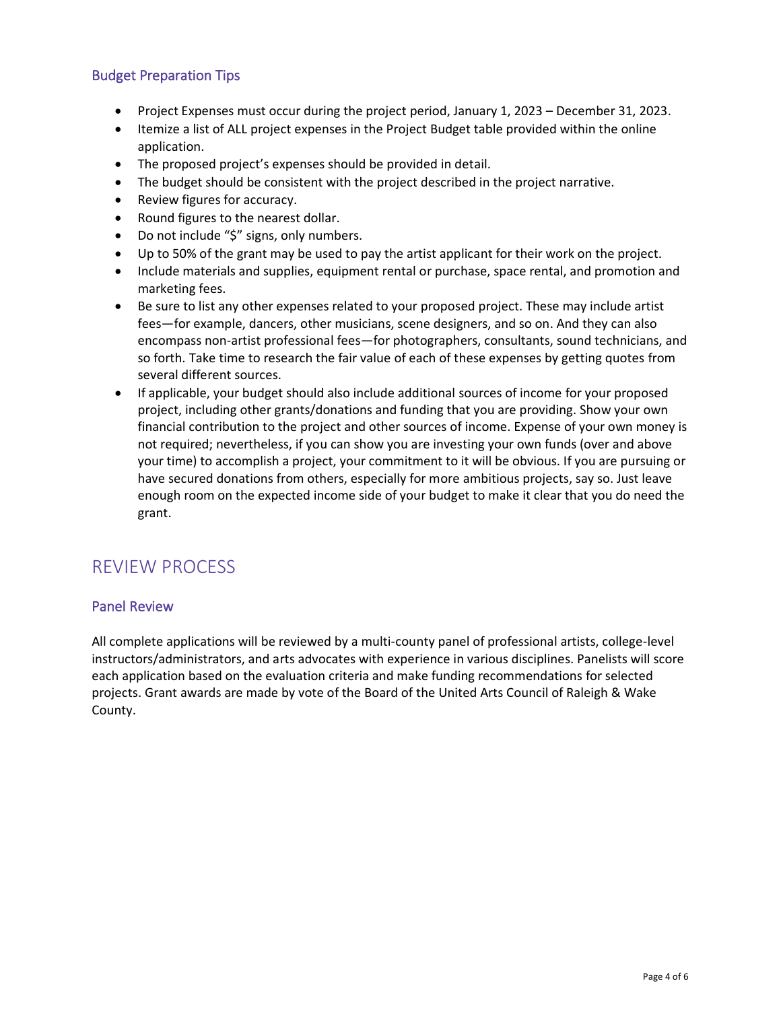### <span id="page-3-0"></span>Budget Preparation Tips

- Project Expenses must occur during the project period, January 1, 2023 December 31, 2023.
- Itemize a list of ALL project expenses in the Project Budget table provided within the online application.
- The proposed project's expenses should be provided in detail.
- The budget should be consistent with the project described in the project narrative.
- Review figures for accuracy.
- Round figures to the nearest dollar.
- Do not include "\$" signs, only numbers.
- Up to 50% of the grant may be used to pay the artist applicant for their work on the project.
- Include materials and supplies, equipment rental or purchase, space rental, and promotion and marketing fees.
- Be sure to list any other expenses related to your proposed project. These may include artist fees—for example, dancers, other musicians, scene designers, and so on. And they can also encompass non-artist professional fees—for photographers, consultants, sound technicians, and so forth. Take time to research the fair value of each of these expenses by getting quotes from several different sources.
- If applicable, your budget should also include additional sources of income for your proposed project, including other grants/donations and funding that you are providing. Show your own financial contribution to the project and other sources of income. Expense of your own money is not required; nevertheless, if you can show you are investing your own funds (over and above your time) to accomplish a project, your commitment to it will be obvious. If you are pursuing or have secured donations from others, especially for more ambitious projects, say so. Just leave enough room on the expected income side of your budget to make it clear that you do need the grant.

# <span id="page-3-1"></span>REVIEW PROCESS

#### <span id="page-3-2"></span>Panel Review

All complete applications will be reviewed by a multi-county panel of professional artists, college-level instructors/administrators, and arts advocates with experience in various disciplines. Panelists will score each application based on the evaluation criteria and make funding recommendations for selected projects. Grant awards are made by vote of the Board of the United Arts Council of Raleigh & Wake County.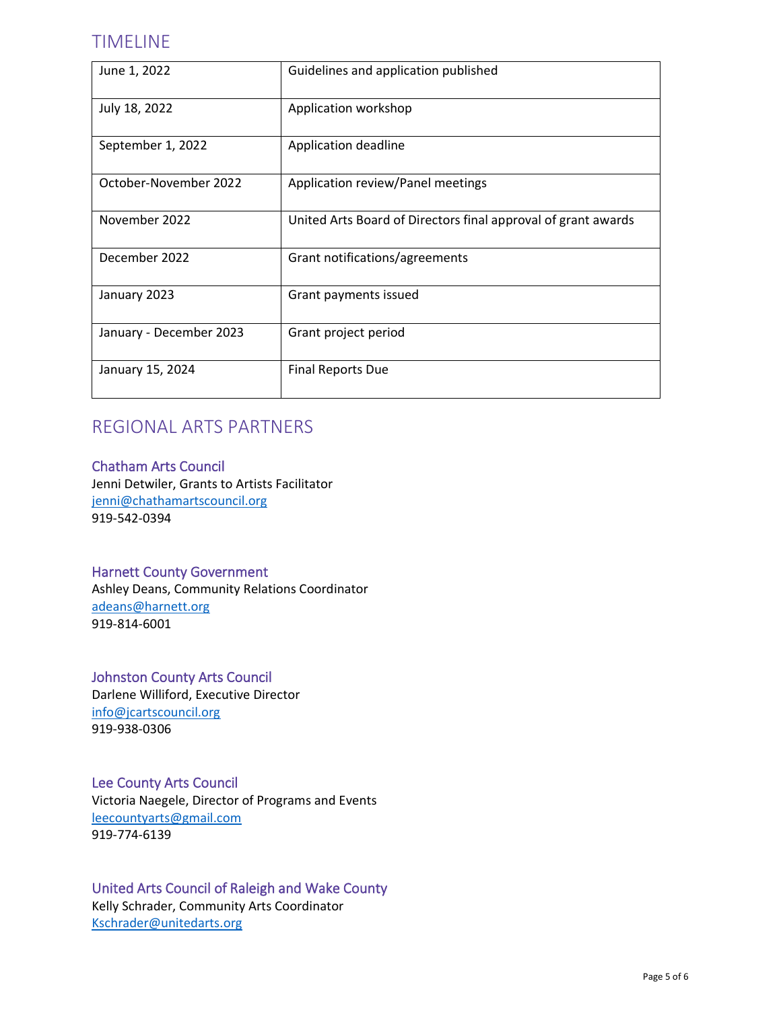## <span id="page-4-0"></span>TIMELINE

| June 1, 2022            | Guidelines and application published                          |
|-------------------------|---------------------------------------------------------------|
| July 18, 2022           | Application workshop                                          |
| September 1, 2022       | Application deadline                                          |
| October-November 2022   | Application review/Panel meetings                             |
| November 2022           | United Arts Board of Directors final approval of grant awards |
| December 2022           | Grant notifications/agreements                                |
| January 2023            | Grant payments issued                                         |
| January - December 2023 | Grant project period                                          |
| January 15, 2024        | <b>Final Reports Due</b>                                      |

# <span id="page-4-1"></span>REGIONAL ARTS PARTNERS

### <span id="page-4-2"></span>[Chatham Arts Council](https://www.chathamartscouncil.org/)

Jenni Detwiler, Grants to Artists Facilitator [jenni@chathamartscouncil.org](../2022%20FY22/2022%20ASG%20Applicant%20Info/jenni@chathamartscouncil.org) 919-542-0394

### <span id="page-4-3"></span>Harnett County Government

Ashley Deans, Community Relations Coordinator [adeans@harnett.org](mailto:adeans@harnett.org) 919-814-6001

#### <span id="page-4-4"></span>[Johnston County Arts Council](https://www.jcartscouncil.org/)

Darlene Williford, Executive Director [info@jcartscouncil.org](mailto:info@jcartscouncil.org) 919-938-0306

### <span id="page-4-5"></span>[Lee County Arts Council](https://www.leecountyarts.org/)

Victoria Naegele, Director of Programs and Events [leecountyarts@gmail.com](mailto:leecountyarts@gmail.com) 919-774-6139

### <span id="page-4-6"></span>[United Arts Council of Raleigh and Wake County](http://www.unitedarts.org/)  Kelly Schrader, Community Arts Coordinator [Kschrader@unitedarts.org](mailto:Kschrader@unitedarts.org)